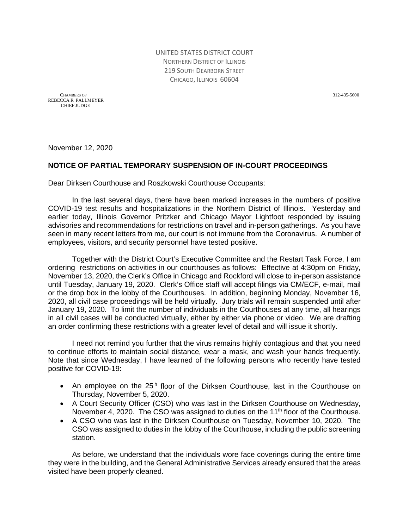UNITED STATES DISTRICT COURT NORTHERN DISTRICT OF ILLINOIS 219 SOUTH DEARBORN STREET CHICAGO, ILLINOIS 60604

 CHAMBERS OF 312-435-5600 REBECCA R PALLMEYER CHIEF JUDGE

November 12, 2020

## **NOTICE OF PARTIAL TEMPORARY SUSPENSION OF IN-COURT PROCEEDINGS**

Dear Dirksen Courthouse and Roszkowski Courthouse Occupants:

In the last several days, there have been marked increases in the numbers of positive COVID-19 test results and hospitalizations in the Northern District of Illinois. Yesterday and earlier today, Illinois Governor Pritzker and Chicago Mayor Lightfoot responded by issuing advisories and recommendations for restrictions on travel and in-person gatherings. As you have seen in many recent letters from me, our court is not immune from the Coronavirus. A number of employees, visitors, and security personnel have tested positive.

Together with the District Court's Executive Committee and the Restart Task Force, I am ordering restrictions on activities in our courthouses as follows: Effective at 4:30pm on Friday, November 13, 2020, the Clerk's Office in Chicago and Rockford will close to in-person assistance until Tuesday, January 19, 2020. Clerk's Office staff will accept filings via CM/ECF, e-mail, mail or the drop box in the lobby of the Courthouses. In addition, beginning Monday, November 16, 2020, all civil case proceedings will be held virtually. Jury trials will remain suspended until after January 19, 2020. To limit the number of individuals in the Courthouses at any time, all hearings in all civil cases will be conducted virtually, either by either via phone or video. We are drafting an order confirming these restrictions with a greater level of detail and will issue it shortly.

I need not remind you further that the virus remains highly contagious and that you need to continue efforts to maintain social distance, wear a mask, and wash your hands frequently. Note that since Wednesday, I have learned of the following persons who recently have tested positive for COVID-19:

- An employee on the  $25<sup>h</sup>$  floor of the Dirksen Courthouse, last in the Courthouse on Thursday, November 5, 2020.
- A Court Security Officer (CSO) who was last in the Dirksen Courthouse on Wednesday, November 4, 2020. The CSO was assigned to duties on the 11<sup>th</sup> floor of the Courthouse.
- A CSO who was last in the Dirksen Courthouse on Tuesday, November 10, 2020. The CSO was assigned to duties in the lobby of the Courthouse, including the public screening station.

As before, we understand that the individuals wore face coverings during the entire time they were in the building, and the General Administrative Services already ensured that the areas visited have been properly cleaned.